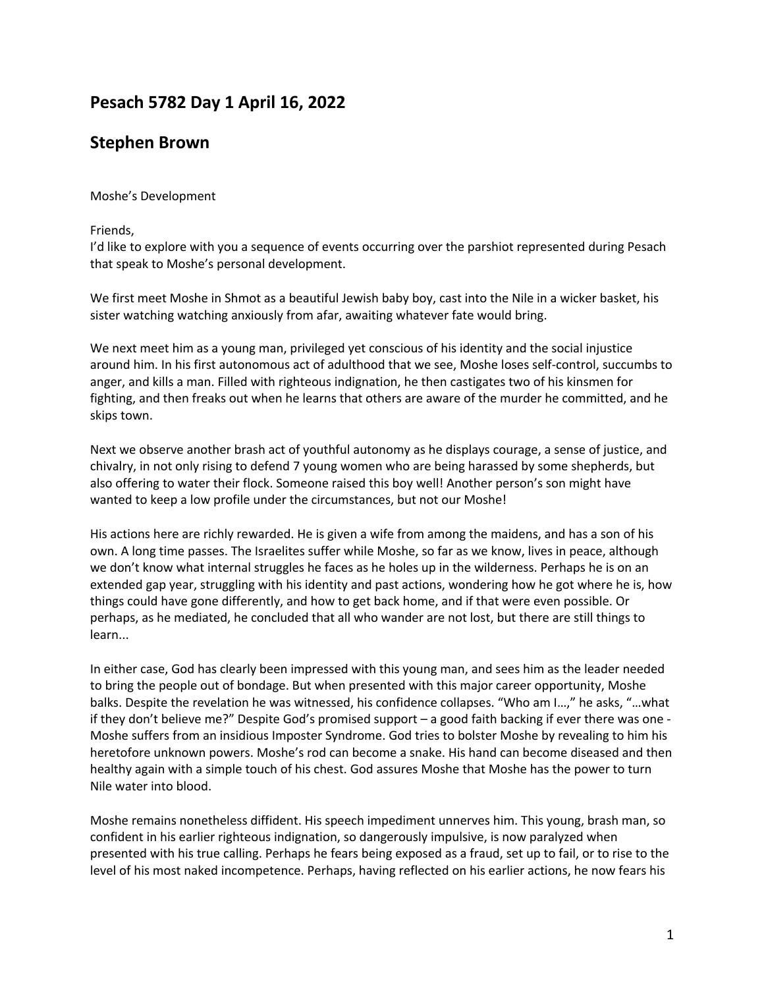# **Pesach 5782 Day 1 April 16, 2022**

## **Stephen Brown**

### Moshe's Development

#### Friends,

I'd like to explore with you a sequence of events occurring over the parshiot represented during Pesach that speak to Moshe's personal development.

We first meet Moshe in Shmot as a beautiful Jewish baby boy, cast into the Nile in a wicker basket, his sister watching watching anxiously from afar, awaiting whatever fate would bring.

We next meet him as a young man, privileged yet conscious of his identity and the social injustice around him. In his first autonomous act of adulthood that we see, Moshe loses self-control, succumbs to anger, and kills a man. Filled with righteous indignation, he then castigates two of his kinsmen for fighting, and then freaks out when he learns that others are aware of the murder he committed, and he skips town.

Next we observe another brash act of youthful autonomy as he displays courage, a sense of justice, and chivalry, in not only rising to defend 7 young women who are being harassed by some shepherds, but also offering to water their flock. Someone raised this boy well! Another person's son might have wanted to keep a low profile under the circumstances, but not our Moshe!

His actions here are richly rewarded. He is given a wife from among the maidens, and has a son of his own. A long time passes. The Israelites suffer while Moshe, so far as we know, lives in peace, although we don't know what internal struggles he faces as he holes up in the wilderness. Perhaps he is on an extended gap year, struggling with his identity and past actions, wondering how he got where he is, how things could have gone differently, and how to get back home, and if that were even possible. Or perhaps, as he mediated, he concluded that all who wander are not lost, but there are still things to learn...

In either case, God has clearly been impressed with this young man, and sees him as the leader needed to bring the people out of bondage. But when presented with this major career opportunity, Moshe balks. Despite the revelation he was witnessed, his confidence collapses. "Who am I…," he asks, "…what if they don't believe me?" Despite God's promised support – a good faith backing if ever there was one - Moshe suffers from an insidious Imposter Syndrome. God tries to bolster Moshe by revealing to him his heretofore unknown powers. Moshe's rod can become a snake. His hand can become diseased and then healthy again with a simple touch of his chest. God assures Moshe that Moshe has the power to turn Nile water into blood.

Moshe remains nonetheless diffident. His speech impediment unnerves him. This young, brash man, so confident in his earlier righteous indignation, so dangerously impulsive, is now paralyzed when presented with his true calling. Perhaps he fears being exposed as a fraud, set up to fail, or to rise to the level of his most naked incompetence. Perhaps, having reflected on his earlier actions, he now fears his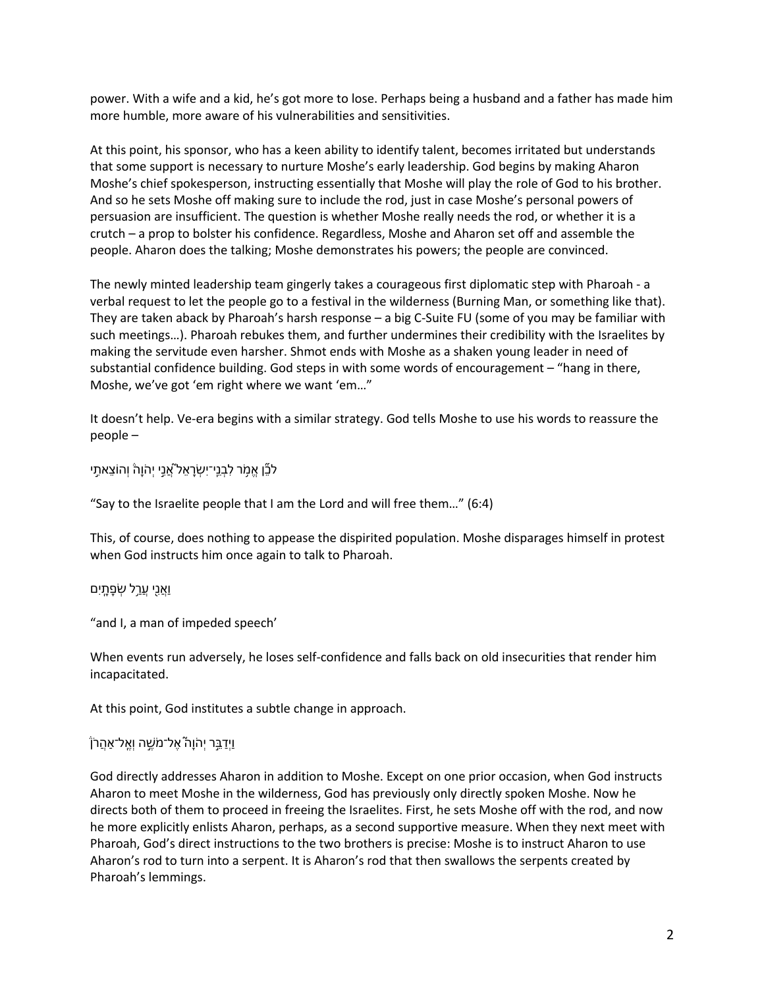power. With a wife and a kid, he's got more to lose. Perhaps being a husband and a father has made him more humble, more aware of his vulnerabilities and sensitivities.

At this point, his sponsor, who has a keen ability to identify talent, becomes irritated but understands that some support is necessary to nurture Moshe's early leadership. God begins by making Aharon Moshe's chief spokesperson, instructing essentially that Moshe will play the role of God to his brother. And so he sets Moshe off making sure to include the rod, just in case Moshe's personal powers of persuasion are insufficient. The question is whether Moshe really needs the rod, or whether it is a crutch – a prop to bolster his confidence. Regardless, Moshe and Aharon set off and assemble the people. Aharon does the talking; Moshe demonstrates his powers; the people are convinced.

The newly minted leadership team gingerly takes a courageous first diplomatic step with Pharoah - a verbal request to let the people go to a festival in the wilderness (Burning Man, or something like that). They are taken aback by Pharoah's harsh response – a big C-Suite FU (some of you may be familiar with such meetings…). Pharoah rebukes them, and further undermines their credibility with the Israelites by making the servitude even harsher. Shmot ends with Moshe as a shaken young leader in need of substantial confidence building. God steps in with some words of encouragement – "hang in there, Moshe, we've got 'em right where we want 'em…"

It doesn't help. Ve-era begins with a similar strategy. God tells Moshe to use his words to reassure the people –

ּלֹבֶّן אֵמְׂר לְבָנֵי־יִשְׂרָאֵל אֵׁנֵי יִהֹוָהֹ וְהוֹצֵאתֵי

"Say to the Israelite people that I am the Lord and will free them…" (6:4)

This, of course, does nothing to appease the dispirited population. Moshe disparages himself in protest when God instructs him once again to talk to Pharoah.

וַאֲנֵי עֲרֵל שְׂפָתֶיִם

"and I, a man of impeded speech'

When events run adversely, he loses self-confidence and falls back on old insecurities that render him incapacitated.

At this point, God institutes a subtle change in approach.

#### ֿוַיִדַבֵּר יִהֹוַה אֶל־מֹשֵׁה וְאֱל־אַהֲרֹן

God directly addresses Aharon in addition to Moshe. Except on one prior occasion, when God instructs Aharon to meet Moshe in the wilderness, God has previously only directly spoken Moshe. Now he directs both of them to proceed in freeing the Israelites. First, he sets Moshe off with the rod, and now he more explicitly enlists Aharon, perhaps, as a second supportive measure. When they next meet with Pharoah, God's direct instructions to the two brothers is precise: Moshe is to instruct Aharon to use Aharon's rod to turn into a serpent. It is Aharon's rod that then swallows the serpents created by Pharoah's lemmings.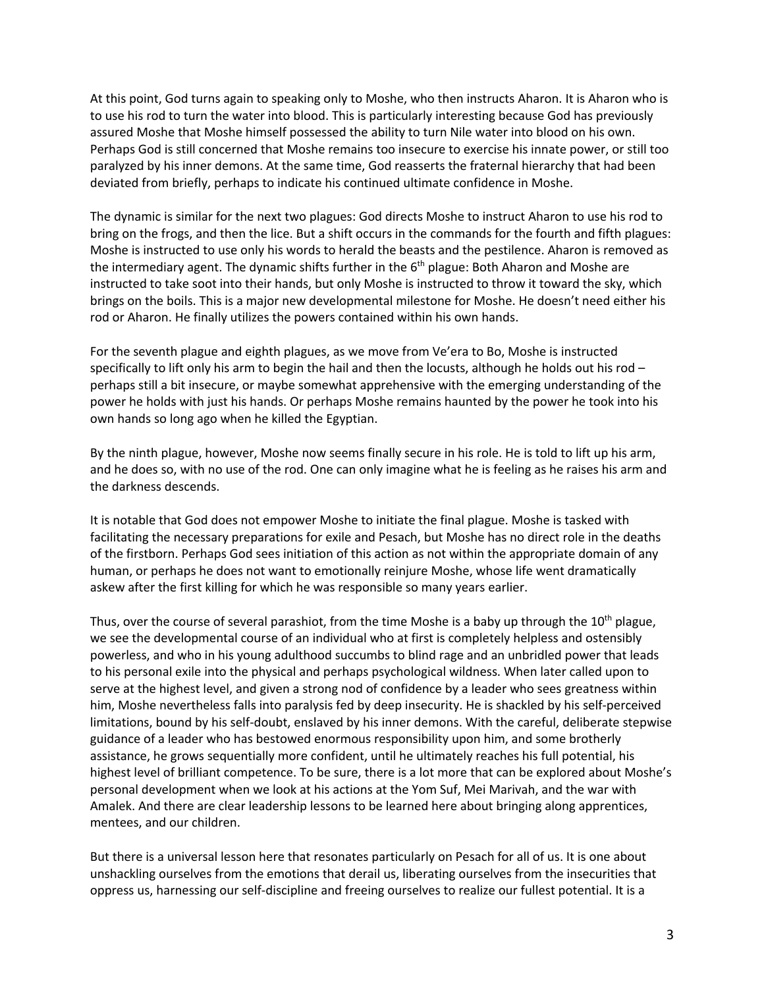At this point, God turns again to speaking only to Moshe, who then instructs Aharon. It is Aharon who is to use his rod to turn the water into blood. This is particularly interesting because God has previously assured Moshe that Moshe himself possessed the ability to turn Nile water into blood on his own. Perhaps God is still concerned that Moshe remains too insecure to exercise his innate power, or still too paralyzed by his inner demons. At the same time, God reasserts the fraternal hierarchy that had been deviated from briefly, perhaps to indicate his continued ultimate confidence in Moshe.

The dynamic is similar for the next two plagues: God directs Moshe to instruct Aharon to use his rod to bring on the frogs, and then the lice. But a shift occurs in the commands for the fourth and fifth plagues: Moshe is instructed to use only his words to herald the beasts and the pestilence. Aharon is removed as the intermediary agent. The dynamic shifts further in the 6<sup>th</sup> plague: Both Aharon and Moshe are instructed to take soot into their hands, but only Moshe is instructed to throw it toward the sky, which brings on the boils. This is a major new developmental milestone for Moshe. He doesn't need either his rod or Aharon. He finally utilizes the powers contained within his own hands.

For the seventh plague and eighth plagues, as we move from Ve'era to Bo, Moshe is instructed specifically to lift only his arm to begin the hail and then the locusts, although he holds out his rod perhaps still a bit insecure, or maybe somewhat apprehensive with the emerging understanding of the power he holds with just his hands. Or perhaps Moshe remains haunted by the power he took into his own hands so long ago when he killed the Egyptian.

By the ninth plague, however, Moshe now seems finally secure in his role. He is told to lift up his arm, and he does so, with no use of the rod. One can only imagine what he is feeling as he raises his arm and the darkness descends.

It is notable that God does not empower Moshe to initiate the final plague. Moshe is tasked with facilitating the necessary preparations for exile and Pesach, but Moshe has no direct role in the deaths of the firstborn. Perhaps God sees initiation of this action as not within the appropriate domain of any human, or perhaps he does not want to emotionally reinjure Moshe, whose life went dramatically askew after the first killing for which he was responsible so many years earlier.

Thus, over the course of several parashiot, from the time Moshe is a baby up through the  $10<sup>th</sup>$  plague, we see the developmental course of an individual who at first is completely helpless and ostensibly powerless, and who in his young adulthood succumbs to blind rage and an unbridled power that leads to his personal exile into the physical and perhaps psychological wildness. When later called upon to serve at the highest level, and given a strong nod of confidence by a leader who sees greatness within him, Moshe nevertheless falls into paralysis fed by deep insecurity. He is shackled by his self-perceived limitations, bound by his self-doubt, enslaved by his inner demons. With the careful, deliberate stepwise guidance of a leader who has bestowed enormous responsibility upon him, and some brotherly assistance, he grows sequentially more confident, until he ultimately reaches his full potential, his highest level of brilliant competence. To be sure, there is a lot more that can be explored about Moshe's personal development when we look at his actions at the Yom Suf, Mei Marivah, and the war with Amalek. And there are clear leadership lessons to be learned here about bringing along apprentices, mentees, and our children.

But there is a universal lesson here that resonates particularly on Pesach for all of us. It is one about unshackling ourselves from the emotions that derail us, liberating ourselves from the insecurities that oppress us, harnessing our self-discipline and freeing ourselves to realize our fullest potential. It is a